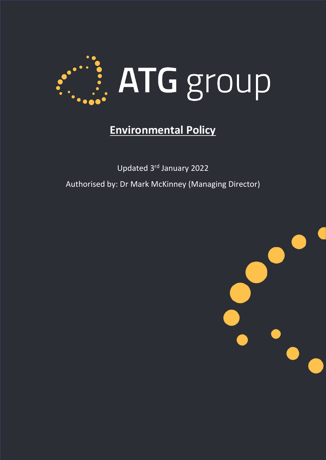

# **Environmental Policy**

Updated 3rd January 2022 Authorised by: Dr Mark McKinney (Managing Director)

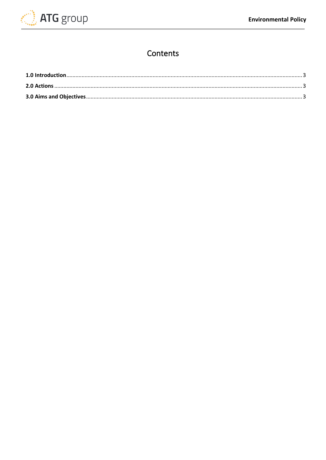

# Contents